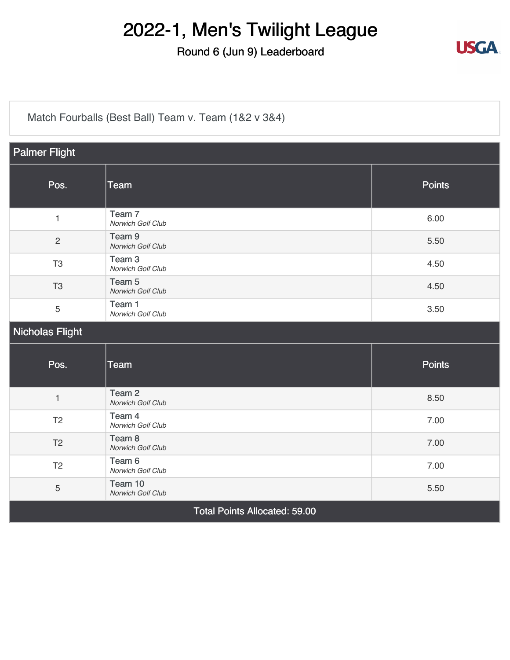#### Round 6 (Jun 9) Leaderboard



[Match Fourballs \(Best Ball\) Team v. Team \(1&2 v 3&4\)](https://static.golfgenius.com/v2tournaments/8326500825769738993?called_from=&round_index=6)

| <b>Palmer Flight</b>                 |                                        |               |  |  |
|--------------------------------------|----------------------------------------|---------------|--|--|
| Pos.                                 | Team                                   | <b>Points</b> |  |  |
| $\mathbf{1}$                         | Team <sub>7</sub><br>Norwich Golf Club | 6.00          |  |  |
| $\overline{c}$                       | Team <sub>9</sub><br>Norwich Golf Club | 5.50          |  |  |
| T <sub>3</sub>                       | Team <sub>3</sub><br>Norwich Golf Club | 4.50          |  |  |
| T <sub>3</sub>                       | Team 5<br>Norwich Golf Club            | 4.50          |  |  |
| 5                                    | Team 1<br>Norwich Golf Club            | 3.50          |  |  |
| <b>Nicholas Flight</b>               |                                        |               |  |  |
| Pos.                                 | <b>Team</b>                            | <b>Points</b> |  |  |
| $\mathbf{1}$                         | Team <sub>2</sub><br>Norwich Golf Club | 8.50          |  |  |
| T <sub>2</sub>                       | Team 4<br>Norwich Golf Club            | 7.00          |  |  |
| T <sub>2</sub>                       | Team 8<br>Norwich Golf Club            | 7.00          |  |  |
| T <sub>2</sub>                       | Team 6<br>Norwich Golf Club            | 7.00          |  |  |
| 5                                    | Team 10<br>Norwich Golf Club           | 5.50          |  |  |
| <b>Total Points Allocated: 59.00</b> |                                        |               |  |  |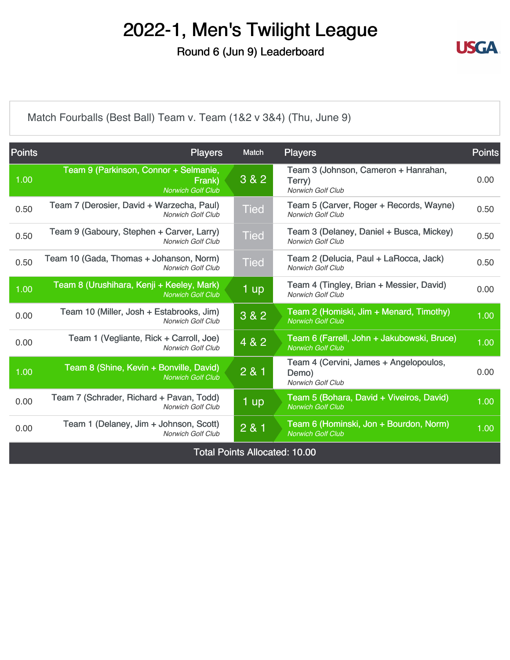Round 6 (Jun 9) Leaderboard



[Match Fourballs \(Best Ball\) Team v. Team \(1&2 v 3&4\) \(Thu, June 9\)](https://static.golfgenius.com/v2tournaments/8326500841372549879?called_from=&round_index=6)

| <b>Points</b>                        | <b>Players</b>                                                              | Match       | <b>Players</b>                                                              | <b>Points</b> |
|--------------------------------------|-----------------------------------------------------------------------------|-------------|-----------------------------------------------------------------------------|---------------|
| 1.00                                 | Team 9 (Parkinson, Connor + Selmanie,<br>Frank)<br><b>Norwich Golf Club</b> | 3 & 2       | Team 3 (Johnson, Cameron + Hanrahan,<br>Terry)<br><b>Norwich Golf Club</b>  | 0.00          |
| 0.50                                 | Team 7 (Derosier, David + Warzecha, Paul)<br><b>Norwich Golf Club</b>       | <b>Tied</b> | Team 5 (Carver, Roger + Records, Wayne)<br><b>Norwich Golf Club</b>         | 0.50          |
| 0.50                                 | Team 9 (Gaboury, Stephen + Carver, Larry)<br><b>Norwich Golf Club</b>       | <b>Tied</b> | Team 3 (Delaney, Daniel + Busca, Mickey)<br><b>Norwich Golf Club</b>        | 0.50          |
| 0.50                                 | Team 10 (Gada, Thomas + Johanson, Norm)<br><b>Norwich Golf Club</b>         | <b>Tied</b> | Team 2 (Delucia, Paul + LaRocca, Jack)<br><b>Norwich Golf Club</b>          | 0.50          |
| 1.00                                 | Team 8 (Urushihara, Kenji + Keeley, Mark)<br><b>Norwich Golf Club</b>       | 1 up        | Team 4 (Tingley, Brian + Messier, David)<br><b>Norwich Golf Club</b>        | 0.00          |
| 0.00                                 | Team 10 (Miller, Josh + Estabrooks, Jim)<br><b>Norwich Golf Club</b>        | 3 & 2       | Team 2 (Homiski, Jim + Menard, Timothy)<br><b>Norwich Golf Club</b>         | 1.00          |
| 0.00                                 | Team 1 (Vegliante, Rick + Carroll, Joe)<br><b>Norwich Golf Club</b>         | 4 & 2       | Team 6 (Farrell, John + Jakubowski, Bruce)<br><b>Norwich Golf Club</b>      | 1.00          |
| 1.00                                 | Team 8 (Shine, Kevin + Bonville, David)<br><b>Norwich Golf Club</b>         | 2 & 1       | Team 4 (Cervini, James + Angelopoulos,<br>Demo)<br><b>Norwich Golf Club</b> | 0.00          |
| 0.00                                 | Team 7 (Schrader, Richard + Pavan, Todd)<br><b>Norwich Golf Club</b>        | 1 up        | Team 5 (Bohara, David + Viveiros, David)<br><b>Norwich Golf Club</b>        | 1.00          |
| 0.00                                 | Team 1 (Delaney, Jim + Johnson, Scott)<br>Norwich Golf Club                 | 2 & 1       | Team 6 (Hominski, Jon + Bourdon, Norm)<br><b>Norwich Golf Club</b>          | 1.00          |
| <b>Total Points Allocated: 10.00</b> |                                                                             |             |                                                                             |               |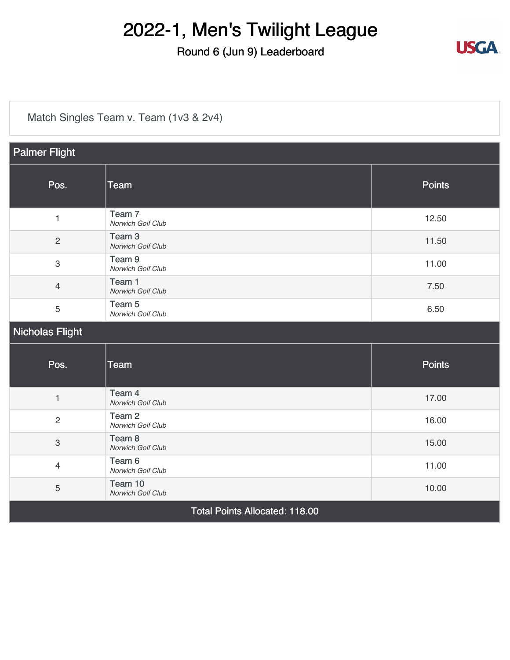#### Round 6 (Jun 9) Leaderboard

[Match Singles Team v. Team \(1v3 & 2v4\)](https://static.golfgenius.com/v2tournaments/8326500891972633342?called_from=&round_index=6)

| <b>Palmer Flight</b>                  |                                        |               |  |  |
|---------------------------------------|----------------------------------------|---------------|--|--|
| Pos.                                  | <b>Team</b>                            | <b>Points</b> |  |  |
| $\mathbf{1}$                          | Team <sub>7</sub><br>Norwich Golf Club | 12.50         |  |  |
| $\overline{c}$                        | Team <sub>3</sub><br>Norwich Golf Club | 11.50         |  |  |
| 3                                     | Team <sub>9</sub><br>Norwich Golf Club | 11.00         |  |  |
| $\overline{4}$                        | Team 1<br>Norwich Golf Club            | 7.50          |  |  |
| 5                                     | Team <sub>5</sub><br>Norwich Golf Club | 6.50          |  |  |
| <b>Nicholas Flight</b>                |                                        |               |  |  |
| Pos.                                  | <b>Team</b>                            | <b>Points</b> |  |  |
| $\mathbf{1}$                          | Team 4<br>Norwich Golf Club            | 17.00         |  |  |
| $\overline{c}$                        | Team <sub>2</sub><br>Norwich Golf Club | 16.00         |  |  |
| $\ensuremath{\mathsf{3}}$             | Team <sub>8</sub><br>Norwich Golf Club | 15.00         |  |  |
| $\overline{4}$                        | Team 6<br>Norwich Golf Club            | 11.00         |  |  |
| 5                                     | Team 10<br>Norwich Golf Club           | 10.00         |  |  |
| <b>Total Points Allocated: 118.00</b> |                                        |               |  |  |

**USGA**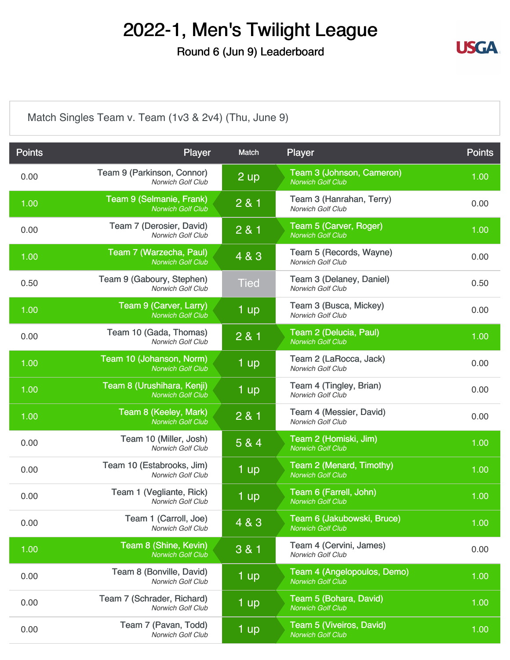Round 6 (Jun 9) Leaderboard



[Match Singles Team v. Team \(1v3 & 2v4\) \(Thu, June 9\)](https://static.golfgenius.com/v2tournaments/8326500907441226500?called_from=&round_index=6)

| <b>Points</b> | Player                                                 | Match       | Player                                                  | <b>Points</b> |
|---------------|--------------------------------------------------------|-------------|---------------------------------------------------------|---------------|
| 0.00          | Team 9 (Parkinson, Connor)<br>Norwich Golf Club        | 2 up        | Team 3 (Johnson, Cameron)<br><b>Norwich Golf Club</b>   | 1.00          |
| 1.00          | Team 9 (Selmanie, Frank)<br><b>Norwich Golf Club</b>   | 2 & 1       | Team 3 (Hanrahan, Terry)<br>Norwich Golf Club           | 0.00          |
| 0.00          | Team 7 (Derosier, David)<br>Norwich Golf Club          | 2 & 1       | Team 5 (Carver, Roger)<br><b>Norwich Golf Club</b>      | 1.00          |
| 1.00          | Team 7 (Warzecha, Paul)<br><b>Norwich Golf Club</b>    | 4 & 3       | Team 5 (Records, Wayne)<br>Norwich Golf Club            | 0.00          |
| 0.50          | Team 9 (Gaboury, Stephen)<br><b>Norwich Golf Club</b>  | <b>Tied</b> | Team 3 (Delaney, Daniel)<br><b>Norwich Golf Club</b>    | 0.50          |
| 1.00          | Team 9 (Carver, Larry)<br><b>Norwich Golf Club</b>     | 1 up        | Team 3 (Busca, Mickey)<br>Norwich Golf Club             | 0.00          |
| 0.00          | Team 10 (Gada, Thomas)<br>Norwich Golf Club            | 2 & 1       | Team 2 (Delucia, Paul)<br><b>Norwich Golf Club</b>      | 1.00          |
| 1.00          | Team 10 (Johanson, Norm)<br><b>Norwich Golf Club</b>   | 1 up        | Team 2 (LaRocca, Jack)<br>Norwich Golf Club             | 0.00          |
| 1.00          | Team 8 (Urushihara, Kenji)<br><b>Norwich Golf Club</b> | 1 up        | Team 4 (Tingley, Brian)<br><b>Norwich Golf Club</b>     | 0.00          |
| 1.00          | Team 8 (Keeley, Mark)<br><b>Norwich Golf Club</b>      | 2 & 1       | Team 4 (Messier, David)<br>Norwich Golf Club            | 0.00          |
| 0.00          | Team 10 (Miller, Josh)<br><b>Norwich Golf Club</b>     | 5 & 4       | Team 2 (Homiski, Jim)<br><b>Norwich Golf Club</b>       | 1.00          |
| 0.00          | Team 10 (Estabrooks, Jim)<br><b>Norwich Golf Club</b>  | 1 up        | Team 2 (Menard, Timothy)<br><b>Norwich Golf Club</b>    | 1.00          |
| 0.00          | Team 1 (Vegliante, Rick)<br><b>Norwich Golf Club</b>   | 1 up        | Team 6 (Farrell, John)<br><b>Norwich Golf Club</b>      | 1.00          |
| 0.00          | Team 1 (Carroll, Joe)<br>Norwich Golf Club             | 4 & 3       | Team 6 (Jakubowski, Bruce)<br><b>Norwich Golf Club</b>  | 1.00          |
| 1.00          | Team 8 (Shine, Kevin)<br><b>Norwich Golf Club</b>      | 3 & 1       | Team 4 (Cervini, James)<br>Norwich Golf Club            | 0.00          |
| 0.00          | Team 8 (Bonville, David)<br><b>Norwich Golf Club</b>   | 1 up        | Team 4 (Angelopoulos, Demo)<br><b>Norwich Golf Club</b> | 1.00          |
| 0.00          | Team 7 (Schrader, Richard)<br>Norwich Golf Club        | 1 up        | Team 5 (Bohara, David)<br><b>Norwich Golf Club</b>      | 1.00          |
| 0.00          | Team 7 (Pavan, Todd)<br>Norwich Golf Club              | 1 up        | Team 5 (Viveiros, David)<br><b>Norwich Golf Club</b>    | 1.00          |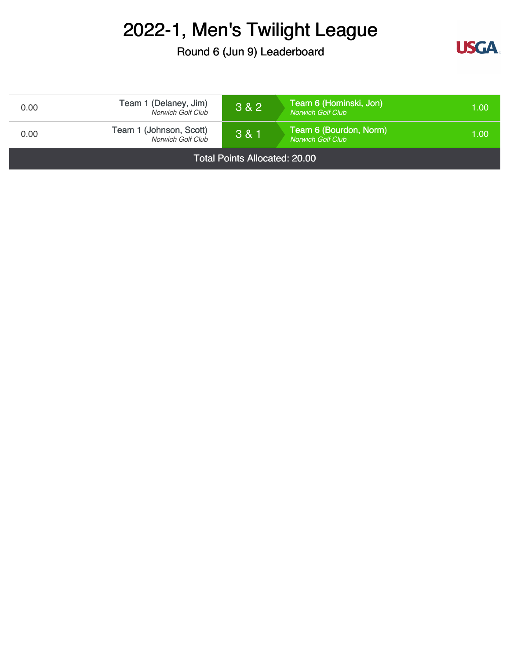Round 6 (Jun 9) Leaderboard



| 0.00                                 | Team 1 (Delaney, Jim)<br>Norwich Golf Club   | 3 & 2       | Team 6 (Hominski, Jon)<br><b>Norwich Golf Club</b> | 1.00 |
|--------------------------------------|----------------------------------------------|-------------|----------------------------------------------------|------|
| 0.00                                 | Team 1 (Johnson, Scott)<br>Norwich Golf Club | $3 & 8 & 1$ | Team 6 (Bourdon, Norm)<br><b>Norwich Golf Club</b> | 1.00 |
| <b>Total Points Allocated: 20.00</b> |                                              |             |                                                    |      |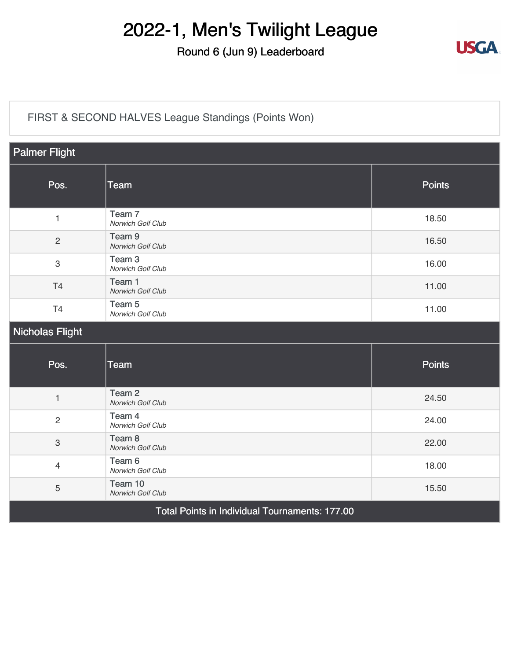#### Round 6 (Jun 9) Leaderboard



#### [FIRST & SECOND HALVES League Standings \(Points Won\)](https://static.golfgenius.com/v2tournaments/8326500939955471116?called_from=&round_index=6)

| <b>Palmer Flight</b>                           |                                        |               |  |  |
|------------------------------------------------|----------------------------------------|---------------|--|--|
| Pos.                                           | <b>Team</b>                            | <b>Points</b> |  |  |
| $\mathbf{1}$                                   | Team <sub>7</sub><br>Norwich Golf Club | 18.50         |  |  |
| $\overline{2}$                                 | Team <sub>9</sub><br>Norwich Golf Club | 16.50         |  |  |
| $\ensuremath{\mathsf{3}}$                      | Team <sub>3</sub><br>Norwich Golf Club | 16.00         |  |  |
| T4                                             | Team 1<br>Norwich Golf Club            | 11.00         |  |  |
| T <sub>4</sub>                                 | Team <sub>5</sub><br>Norwich Golf Club | 11.00         |  |  |
| Nicholas Flight                                |                                        |               |  |  |
| Pos.                                           | <b>Team</b>                            | <b>Points</b> |  |  |
| $\mathbf{1}$                                   | Team <sub>2</sub><br>Norwich Golf Club | 24.50         |  |  |
| $\overline{2}$                                 | Team 4<br>Norwich Golf Club            | 24.00         |  |  |
| $\mathbf{3}$                                   | Team <sub>8</sub><br>Norwich Golf Club | 22.00         |  |  |
| $\overline{4}$                                 | Team 6<br>Norwich Golf Club            | 18.00         |  |  |
| 5                                              | Team 10<br>Norwich Golf Club           | 15.50         |  |  |
| Total Points in Individual Tournaments: 177.00 |                                        |               |  |  |